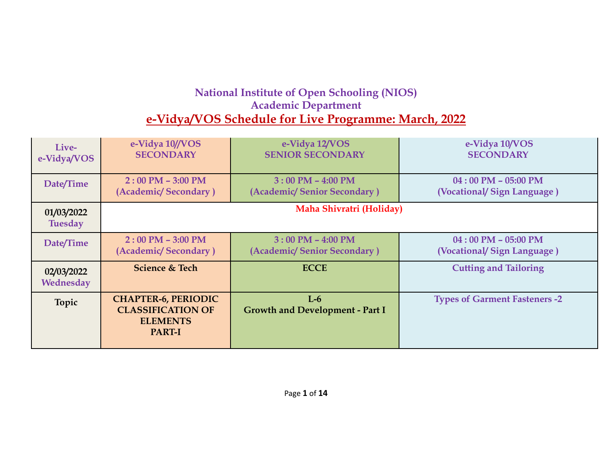## **National Institute of Open Schooling (NIOS) Academic Department e-Vidya/VOS Schedule for Live Programme: March, 2022**

| Live-                        | e-Vidya 10//VOS                                                                            | e-Vidya 12/VOS                                  | e-Vidya 10/VOS                       |
|------------------------------|--------------------------------------------------------------------------------------------|-------------------------------------------------|--------------------------------------|
| e-Vidya/VOS                  | <b>SECONDARY</b>                                                                           | <b>SENIOR SECONDARY</b>                         | <b>SECONDARY</b>                     |
| Date/Time                    | $2:00$ PM $-$ 3:00 PM                                                                      | $3:00 \text{ PM} - 4:00 \text{ PM}$             | $04:00$ PM $- 05:00$ PM              |
|                              | (Academic/Secondary)                                                                       | (Academic/Senior Secondary)                     | (Vocational/Sign Language)           |
| 01/03/2022<br><b>Tuesday</b> | Maha Shivratri (Holiday)                                                                   |                                                 |                                      |
| Date/Time                    | $2:00$ PM $-$ 3:00 PM                                                                      | $3:00$ PM $-$ 4:00 PM                           | $04:00$ PM $- 05:00$ PM              |
|                              | (Academic/Secondary)                                                                       | (Academic/Senior Secondary)                     | (Vocational/Sign Language)           |
| 02/03/2022<br>Wednesday      | <b>Science &amp; Tech</b>                                                                  | <b>ECCE</b>                                     | <b>Cutting and Tailoring</b>         |
| Topic                        | <b>CHAPTER-6, PERIODIC</b><br><b>CLASSIFICATION OF</b><br><b>ELEMENTS</b><br><b>PART-I</b> | $L-6$<br><b>Growth and Development - Part I</b> | <b>Types of Garment Fasteners -2</b> |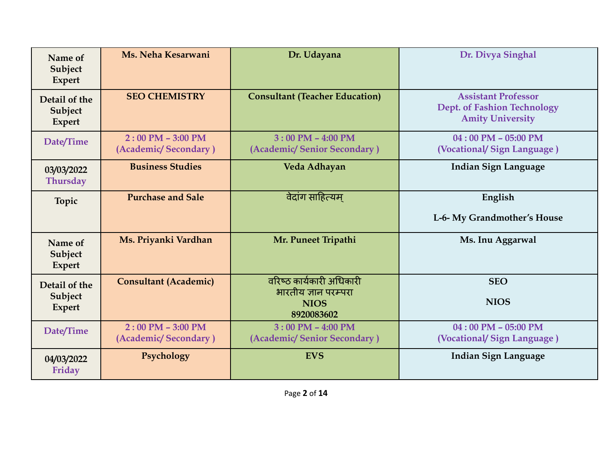| Name of<br>Subject<br><b>Expert</b>       | Ms. Neha Kesarwani                            | Dr. Udayana                                                                   | Dr. Divya Singhal                                                                           |
|-------------------------------------------|-----------------------------------------------|-------------------------------------------------------------------------------|---------------------------------------------------------------------------------------------|
| Detail of the<br>Subject<br><b>Expert</b> | <b>SEO CHEMISTRY</b>                          | <b>Consultant (Teacher Education)</b>                                         | <b>Assistant Professor</b><br><b>Dept. of Fashion Technology</b><br><b>Amity University</b> |
| Date/Time                                 | $2:00$ PM $- 3:00$ PM<br>(Academic/Secondary) | $3:00$ PM $-$ 4:00 PM<br>(Academic/Senior Secondary)                          | $04:00$ PM - 05:00 PM<br>(Vocational/Sign Language)                                         |
| 03/03/2022<br><b>Thursday</b>             | <b>Business Studies</b>                       | Veda Adhayan                                                                  | Indian Sign Language                                                                        |
| Topic                                     | <b>Purchase and Sale</b>                      | वेदांग साहित्यम्                                                              | English<br>L-6- My Grandmother's House                                                      |
| Name of<br>Subject<br><b>Expert</b>       | Ms. Priyanki Vardhan                          | Mr. Puneet Tripathi                                                           | Ms. Inu Aggarwal                                                                            |
| Detail of the<br>Subject<br><b>Expert</b> | <b>Consultant (Academic)</b>                  | वरिष्ठ कार्यकारी अधिकारी<br>भारतीय ज्ञान परम्परा<br><b>NIOS</b><br>8920083602 | <b>SEO</b><br><b>NIOS</b>                                                                   |
| Date/Time                                 | $2:00$ PM $-$ 3:00 PM<br>(Academic/Secondary) | $3:00$ PM $-$ 4:00 PM<br>(Academic/Senior Secondary)                          | $04:00$ PM - 05:00 PM<br>(Vocational/Sign Language)                                         |
| 04/03/2022<br>Friday                      | Psychology                                    | <b>EVS</b>                                                                    | <b>Indian Sign Language</b>                                                                 |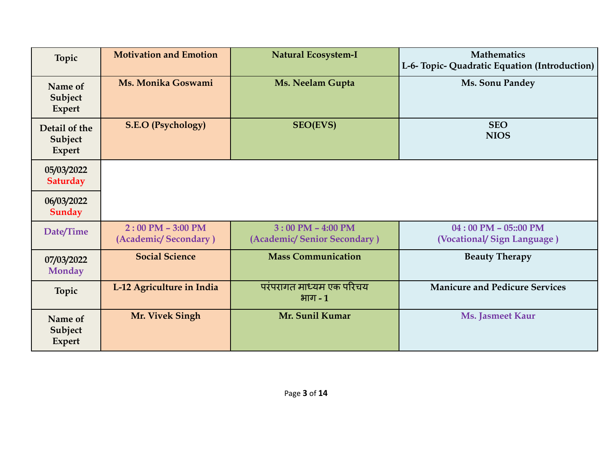| <b>Topic</b>                              | <b>Motivation and Emotion</b>                 | <b>Natural Ecosystem-I</b>                           | <b>Mathematics</b><br>L-6- Topic- Quadratic Equation (Introduction) |
|-------------------------------------------|-----------------------------------------------|------------------------------------------------------|---------------------------------------------------------------------|
| Name of<br>Subject<br>Expert              | Ms. Monika Goswami                            | Ms. Neelam Gupta                                     | Ms. Sonu Pandey                                                     |
| Detail of the<br>Subject<br><b>Expert</b> | <b>S.E.O (Psychology)</b>                     | <b>SEO(EVS)</b>                                      | <b>SEO</b><br><b>NIOS</b>                                           |
| 05/03/2022<br><b>Saturday</b>             |                                               |                                                      |                                                                     |
| 06/03/2022<br>Sunday                      |                                               |                                                      |                                                                     |
| Date/Time                                 | $2:00$ PM $-$ 3:00 PM<br>(Academic/Secondary) | $3:00$ PM $-$ 4:00 PM<br>(Academic/Senior Secondary) | $04:00$ PM $- 05::00$ PM<br>(Vocational/Sign Language)              |
| 07/03/2022<br><b>Monday</b>               | <b>Social Science</b>                         | <b>Mass Communication</b>                            | <b>Beauty Therapy</b>                                               |
| Topic                                     | L-12 Agriculture in India                     | परंपरागत माध्यम एक परिचय<br>भाग - 1                  | <b>Manicure and Pedicure Services</b>                               |
| Name of<br>Subject<br><b>Expert</b>       | Mr. Vivek Singh                               | Mr. Sunil Kumar                                      | <b>Ms. Jasmeet Kaur</b>                                             |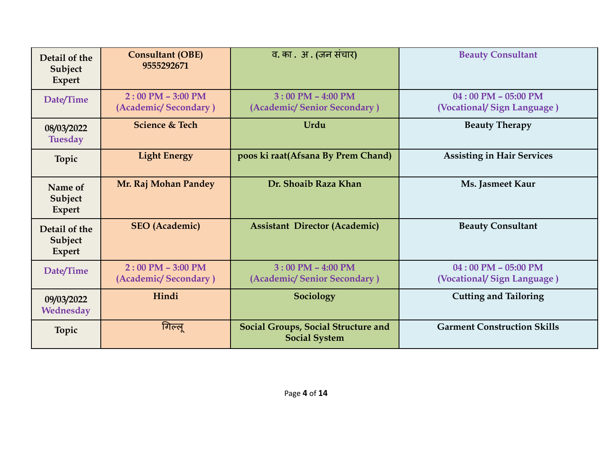| Detail of the<br>Subject<br><b>Expert</b> | <b>Consultant (OBE)</b><br>9555292671         | व. का . अ . (जन संचार)                                             | <b>Beauty Consultant</b>                              |
|-------------------------------------------|-----------------------------------------------|--------------------------------------------------------------------|-------------------------------------------------------|
| Date/Time                                 | $2:00$ PM $-$ 3:00 PM<br>(Academic/Secondary) | $3:00$ PM $-$ 4:00 PM<br>(Academic/Senior Secondary)               | $04:00$ PM $- 05:00$ PM<br>(Vocational/Sign Language) |
| 08/03/2022<br><b>Tuesday</b>              | <b>Science &amp; Tech</b>                     | Urdu                                                               | <b>Beauty Therapy</b>                                 |
| Topic                                     | <b>Light Energy</b>                           | poos ki raat(Afsana By Prem Chand)                                 | <b>Assisting in Hair Services</b>                     |
| Name of<br>Subject<br><b>Expert</b>       | Mr. Raj Mohan Pandey                          | Dr. Shoaib Raza Khan                                               | Ms. Jasmeet Kaur                                      |
| Detail of the<br>Subject<br><b>Expert</b> | <b>SEO</b> (Academic)                         | <b>Assistant Director (Academic)</b>                               | <b>Beauty Consultant</b>                              |
| Date/Time                                 | $2:00$ PM - 3:00 PM<br>(Academic/Secondary)   | $3:00$ PM $-$ 4:00 PM<br>(Academic/Senior Secondary)               | $04:00$ PM $- 05:00$ PM<br>(Vocational/Sign Language) |
| 09/03/2022<br>Wednesday                   | Hindi                                         | Sociology                                                          | <b>Cutting and Tailoring</b>                          |
| Topic                                     | गिल्लू                                        | <b>Social Groups, Social Structure and</b><br><b>Social System</b> | <b>Garment Construction Skills</b>                    |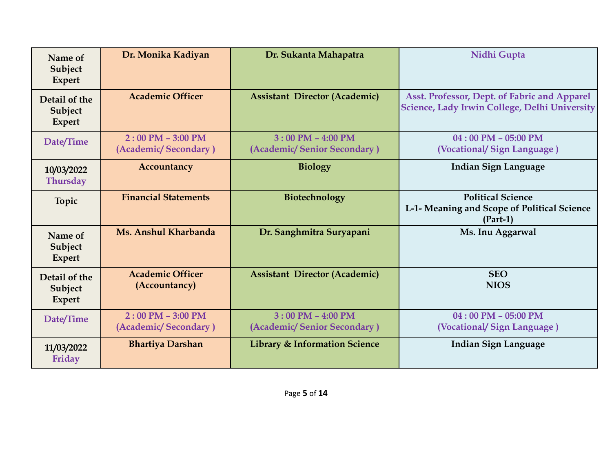| Name of<br>Subject<br><b>Expert</b>       | Dr. Monika Kadiyan                            | Dr. Sukanta Mahapatra                                | Nidhi Gupta                                                                                   |
|-------------------------------------------|-----------------------------------------------|------------------------------------------------------|-----------------------------------------------------------------------------------------------|
| Detail of the<br>Subject<br><b>Expert</b> | <b>Academic Officer</b>                       | <b>Assistant Director (Academic)</b>                 | Asst. Professor, Dept. of Fabric and Apparel<br>Science, Lady Irwin College, Delhi University |
| Date/Time                                 | $2:00$ PM $-$ 3:00 PM<br>(Academic/Secondary) | $3:00$ PM $-$ 4:00 PM<br>(Academic/Senior Secondary) | $04:00$ PM $- 05:00$ PM<br>(Vocational/Sign Language)                                         |
| 10/03/2022<br><b>Thursday</b>             | Accountancy                                   | <b>Biology</b>                                       | <b>Indian Sign Language</b>                                                                   |
| Topic                                     | <b>Financial Statements</b>                   | Biotechnology                                        | <b>Political Science</b><br>L-1- Meaning and Scope of Political Science<br>$(Part-1)$         |
| Name of<br>Subject<br><b>Expert</b>       | Ms. Anshul Kharbanda                          | Dr. Sanghmitra Suryapani                             | Ms. Inu Aggarwal                                                                              |
| Detail of the<br>Subject<br><b>Expert</b> | <b>Academic Officer</b><br>(Accountancy)      | <b>Assistant Director (Academic)</b>                 | <b>SEO</b><br><b>NIOS</b>                                                                     |
| Date/Time                                 | $2:00$ PM $-$ 3:00 PM<br>(Academic/Secondary) | $3:00$ PM $-$ 4:00 PM<br>(Academic/Senior Secondary) | $04:00$ PM $- 05:00$ PM<br>(Vocational/Sign Language)                                         |
| 11/03/2022<br>Friday                      | <b>Bhartiya Darshan</b>                       | <b>Library &amp; Information Science</b>             | Indian Sign Language                                                                          |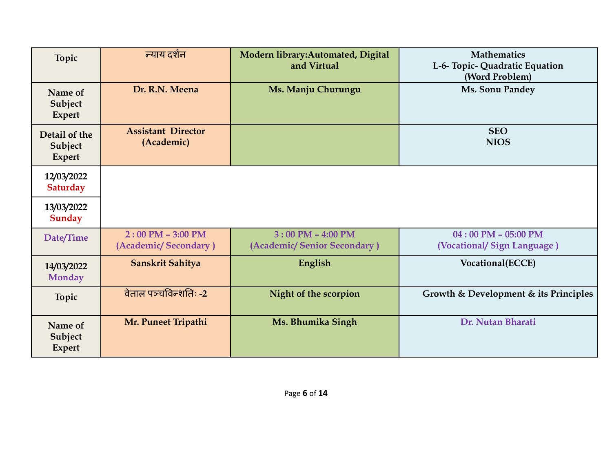| Topic                                     | न्याय दर्शन                                   | Modern library: Automated, Digital<br>and Virtual    | <b>Mathematics</b><br>L-6- Topic- Quadratic Equation<br>(Word Problem) |
|-------------------------------------------|-----------------------------------------------|------------------------------------------------------|------------------------------------------------------------------------|
| Name of<br>Subject<br>Expert              | Dr. R.N. Meena                                | Ms. Manju Churungu                                   | Ms. Sonu Pandey                                                        |
| Detail of the<br>Subject<br><b>Expert</b> | <b>Assistant Director</b><br>(Academic)       |                                                      | <b>SEO</b><br><b>NIOS</b>                                              |
| 12/03/2022<br><b>Saturday</b>             |                                               |                                                      |                                                                        |
| 13/03/2022<br>Sunday                      |                                               |                                                      |                                                                        |
| Date/Time                                 | $2:00$ PM $- 3:00$ PM<br>(Academic/Secondary) | $3:00$ PM $-$ 4:00 PM<br>(Academic/Senior Secondary) | $04:00$ PM - 05:00 PM<br>(Vocational/Sign Language)                    |
| 14/03/2022<br><b>Monday</b>               | Sanskrit Sahitya                              | English                                              | Vocational(ECCE)                                                       |
| Topic                                     | वेताल पञ्चविन्शतिः -2                         | Night of the scorpion                                | Growth & Development & its Principles                                  |
| Name of<br>Subject<br><b>Expert</b>       | Mr. Puneet Tripathi                           | Ms. Bhumika Singh                                    | Dr. Nutan Bharati                                                      |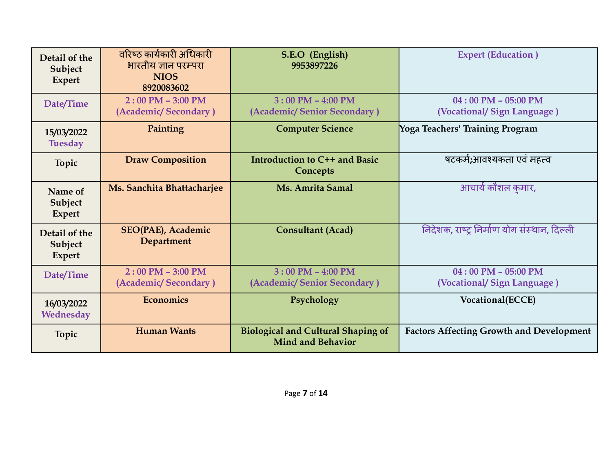| Detail of the<br>Subject<br>Expert | वरिष्ठ कार्यकारी अधिकारी<br>भारतीय ज्ञान परम्परा<br><b>NIOS</b><br>8920083602 | S.E.O (English)<br>9953897226                                         | <b>Expert (Education)</b>                             |
|------------------------------------|-------------------------------------------------------------------------------|-----------------------------------------------------------------------|-------------------------------------------------------|
| Date/Time                          | $2:00$ PM $-$ 3:00 PM<br>(Academic/Secondary)                                 | $3:00$ PM $-$ 4:00 PM<br>(Academic/Senior Secondary)                  | $04:00$ PM $- 05:00$ PM<br>(Vocational/Sign Language) |
| 15/03/2022<br><b>Tuesday</b>       | Painting                                                                      | <b>Computer Science</b>                                               | Yoga Teachers' Training Program                       |
| Topic                              | <b>Draw Composition</b>                                                       | Introduction to C++ and Basic<br><b>Concepts</b>                      | षटकर्म;आवश्यकता एवं महत्व                             |
| Name of<br>Subject<br>Expert       | Ms. Sanchita Bhattacharjee                                                    | Ms. Amrita Samal                                                      | आचार्य कौशल कुमार,                                    |
| Detail of the<br>Subject<br>Expert | <b>SEO(PAE), Academic</b><br><b>Department</b>                                | <b>Consultant (Acad)</b>                                              | निदेशक, राष्ट्र निर्माण योग संस्थान, दिल्ली           |
| Date/Time                          | $2:00$ PM $-$ 3:00 PM<br>(Academic/Secondary)                                 | $3:00$ PM $-$ 4:00 PM<br>(Academic/Senior Secondary)                  | $04:00$ PM $- 05:00$ PM<br>(Vocational/Sign Language) |
| 16/03/2022<br>Wednesday            | Economics                                                                     | Psychology                                                            | Vocational(ECCE)                                      |
| <b>Topic</b>                       | <b>Human Wants</b>                                                            | <b>Biological and Cultural Shaping of</b><br><b>Mind and Behavior</b> | <b>Factors Affecting Growth and Development</b>       |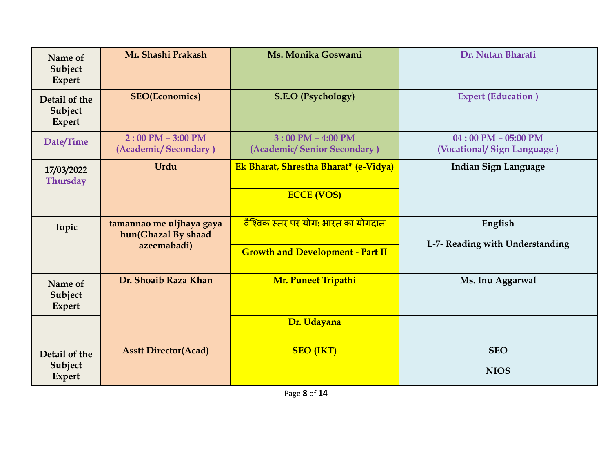| Name of<br>Subject<br><b>Expert</b>       | Mr. Shashi Prakash                              | Ms. Monika Goswami                                   | Dr. Nutan Bharati                                     |
|-------------------------------------------|-------------------------------------------------|------------------------------------------------------|-------------------------------------------------------|
| Detail of the<br>Subject<br><b>Expert</b> | <b>SEO(Economics)</b>                           | <b>S.E.O (Psychology)</b>                            | <b>Expert (Education)</b>                             |
| Date/Time                                 | $2:00$ PM $- 3:00$ PM<br>(Academic/Secondary)   | $3:00$ PM $-$ 4:00 PM<br>(Academic/Senior Secondary) | $04:00$ PM $- 05:00$ PM<br>(Vocational/Sign Language) |
| 17/03/2022<br><b>Thursday</b>             | Urdu                                            | Ek Bharat, Shrestha Bharat* (e-Vidya)                | <b>Indian Sign Language</b>                           |
|                                           |                                                 | <b>ECCE (VOS)</b>                                    |                                                       |
| Topic                                     | tamannao me uljhaya gaya<br>hun(Ghazal By shaad | <u>वैश्विक स्तर पर योग: भारत का योगदान</u>           | English                                               |
|                                           | azeemabadi)                                     | <b>Growth and Development - Part II</b>              | L-7- Reading with Understanding                       |
| Name of<br>Subject<br><b>Expert</b>       | Dr. Shoaib Raza Khan                            | Mr. Puneet Tripathi                                  | Ms. Inu Aggarwal                                      |
|                                           |                                                 | Dr. Udayana                                          |                                                       |
|                                           |                                                 |                                                      |                                                       |
| Detail of the<br>Subject<br><b>Expert</b> | <b>Asstt Director(Acad)</b>                     | <b>SEO</b> (IKT)                                     | <b>SEO</b><br><b>NIOS</b>                             |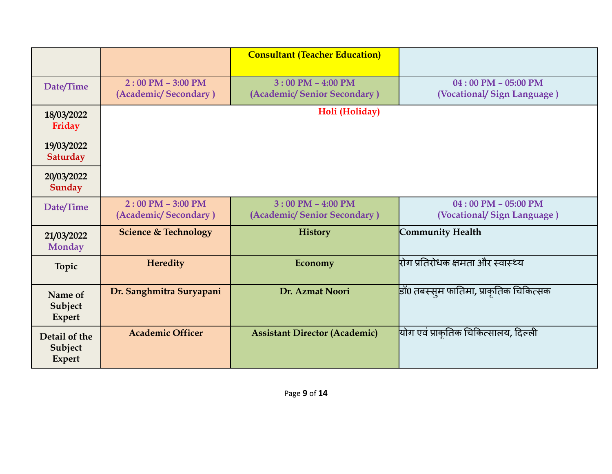|                                           |                                                             | <b>Consultant (Teacher Education)</b>                |                                                       |
|-------------------------------------------|-------------------------------------------------------------|------------------------------------------------------|-------------------------------------------------------|
| Date/Time                                 | $2:00$ PM $-$ 3:00 PM<br>(Academic/Secondary)               | $3:00$ PM $-$ 4:00 PM<br>(Academic/Senior Secondary) | $04:00$ PM $- 05:00$ PM<br>(Vocational/Sign Language) |
| 18/03/2022<br>Friday                      |                                                             | Holi (Holiday)                                       |                                                       |
| 19/03/2022<br>Saturday                    |                                                             |                                                      |                                                       |
| 20/03/2022<br>Sunday                      |                                                             |                                                      |                                                       |
| Date/Time                                 | $2:00 \text{ PM} - 3:00 \text{ PM}$<br>(Academic/Secondary) | $3:00$ PM $-$ 4:00 PM<br>(Academic/Senior Secondary) | $04:00$ PM - 05:00 PM<br>(Vocational/Sign Language)   |
| 21/03/2022<br><b>Monday</b>               | <b>Science &amp; Technology</b>                             | <b>History</b>                                       | <b>Community Health</b>                               |
| Topic                                     | <b>Heredity</b>                                             | Economy                                              | <u>रोग प्रतिरोधक क्षमता और स्वास्थ्य</u>              |
| Name of<br>Subject<br><b>Expert</b>       | Dr. Sanghmitra Suryapani                                    | Dr. Azmat Noori                                      | डाँ0 तबस्स् <b>म फातिमा, प्राकृतिक चिकित्सक</b>       |
| Detail of the<br>Subject<br><b>Expert</b> | <b>Academic Officer</b>                                     | <b>Assistant Director (Academic)</b>                 | <mark>योग एवं प्राकृतिक चिकित्सालय, दिल्ली</mark>     |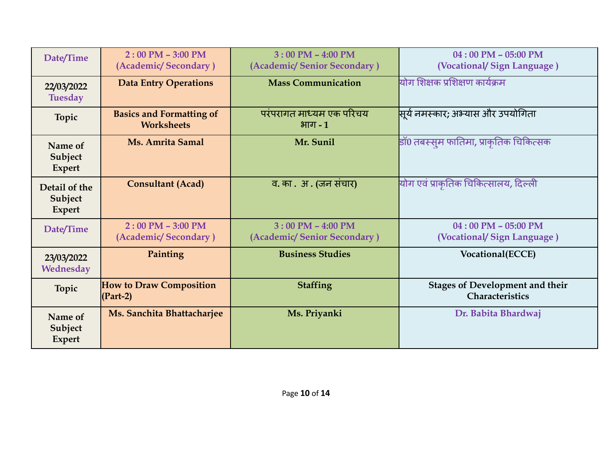| Date/Time                                 | $2:00$ PM $-$ 3:00 PM<br>(Academic/Secondary)        | $3:00$ PM $-$ 4:00 PM<br>(Academic/Senior Secondary) | $04:00$ PM $- 05:00$ PM<br>(Vocational/Sign Language)            |
|-------------------------------------------|------------------------------------------------------|------------------------------------------------------|------------------------------------------------------------------|
| 22/03/2022<br><b>Tuesday</b>              | <b>Data Entry Operations</b>                         | <b>Mass Communication</b>                            | योग शिक्षक प्रशिक्षण कार्यक्रम                                   |
| <b>Topic</b>                              | <b>Basics and Formatting of</b><br><b>Worksheets</b> | परंपरागत माध्यम एक परिचय<br>$H$ गाग - 1              | <mark>सूर्य नमस्कार; अभ्यास और उपयोगिता</mark>                   |
| Name of<br>Subject<br><b>Expert</b>       | Ms. Amrita Samal                                     | Mr. Sunil                                            | डाॅ0 तबस्सुम फातिमा, प्राकुतिक चिकित्सक                          |
| Detail of the<br>Subject<br><b>Expert</b> | <b>Consultant (Acad)</b>                             | व. का . अ . (जन संचार)                               | योग एवं प्राकृतिक चिकित्सालय, दिल्ली                             |
| Date/Time                                 | $2:00$ PM $-$ 3:00 PM<br>(Academic/Secondary)        | $3:00$ PM $-$ 4:00 PM<br>(Academic/Senior Secondary) | $04:00$ PM $- 05:00$ PM<br>(Vocational/Sign Language)            |
| 23/03/2022<br>Wednesday                   | Painting                                             | <b>Business Studies</b>                              | Vocational(ECCE)                                                 |
| <b>Topic</b>                              | <b>How to Draw Composition</b><br>$(Part-2)$         | <b>Staffing</b>                                      | <b>Stages of Development and their</b><br><b>Characteristics</b> |
| Name of<br>Subject<br><b>Expert</b>       | Ms. Sanchita Bhattacharjee                           | Ms. Priyanki                                         | Dr. Babita Bhardwaj                                              |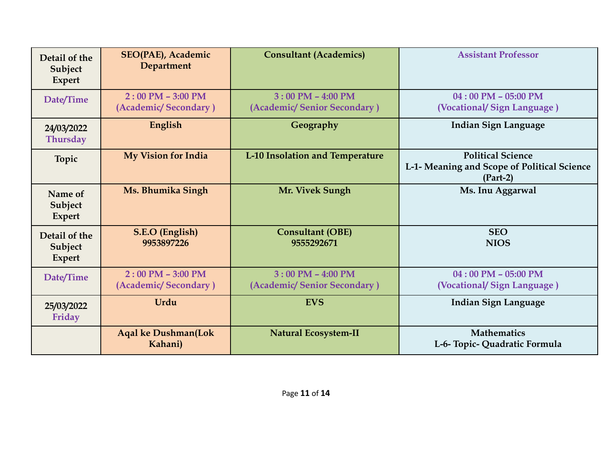| Detail of the<br>Subject<br>Expert | <b>SEO(PAE), Academic</b><br><b>Department</b> | <b>Consultant (Academics)</b>                        | <b>Assistant Professor</b>                                                            |
|------------------------------------|------------------------------------------------|------------------------------------------------------|---------------------------------------------------------------------------------------|
| Date/Time                          | $2:00$ PM $-$ 3:00 PM<br>(Academic/Secondary)  | $3:00$ PM $-$ 4:00 PM<br>(Academic/Senior Secondary) | $04:00$ PM $- 05:00$ PM<br>(Vocational/Sign Language)                                 |
| 24/03/2022<br><b>Thursday</b>      | English                                        | Geography                                            | <b>Indian Sign Language</b>                                                           |
| <b>Topic</b>                       | <b>My Vision for India</b>                     | L-10 Insolation and Temperature                      | <b>Political Science</b><br>L-1- Meaning and Scope of Political Science<br>$(Part-2)$ |
| Name of<br>Subject<br>Expert       | Ms. Bhumika Singh                              | Mr. Vivek Sungh                                      | Ms. Inu Aggarwal                                                                      |
| Detail of the<br>Subject<br>Expert | S.E.O (English)<br>9953897226                  | <b>Consultant (OBE)</b><br>9555292671                | <b>SEO</b><br><b>NIOS</b>                                                             |
| Date/Time                          | $2:00$ PM $-$ 3:00 PM<br>(Academic/Secondary)  | $3:00$ PM $-$ 4:00 PM<br>(Academic/Senior Secondary) | $04:00$ PM - 05:00 PM<br>(Vocational/Sign Language)                                   |
| 25/03/2022<br>Friday               | Urdu                                           | <b>EVS</b>                                           | <b>Indian Sign Language</b>                                                           |
|                                    | <b>Aqal ke Dushman(Lok</b><br>Kahani)          | <b>Natural Ecosystem-II</b>                          | <b>Mathematics</b><br>L-6- Topic- Quadratic Formula                                   |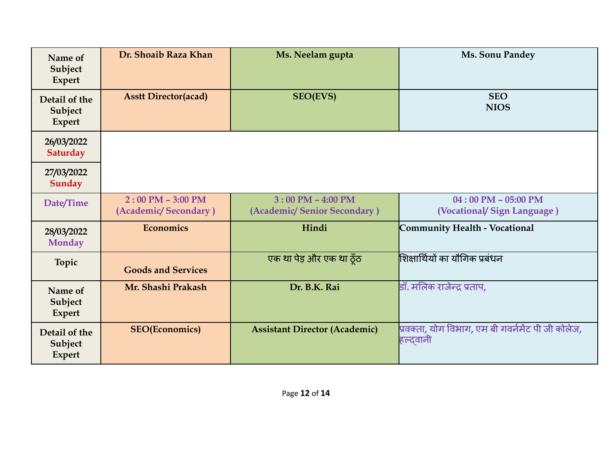| Name of<br>Subject<br><b>Expert</b>       | Dr. Shoaib Raza Khan                        | Ms. Neelam gupta                                     | Ms. Sonu Pandey                                               |
|-------------------------------------------|---------------------------------------------|------------------------------------------------------|---------------------------------------------------------------|
| Detail of the<br>Subject<br><b>Expert</b> | <b>Asstt Director(acad)</b>                 | <b>SEO(EVS)</b>                                      | <b>SEO</b><br><b>NIOS</b>                                     |
| 26/03/2022<br><b>Saturday</b>             |                                             |                                                      |                                                               |
| 27/03/2022<br><b>Sunday</b>               |                                             |                                                      |                                                               |
| Date/Time                                 | $2:00$ PM - 3:00 PM<br>(Academic/Secondary) | $3:00$ PM $-$ 4:00 PM<br>(Academic/Senior Secondary) | $04:00$ PM $- 05:00$ PM<br>(Vocational/Sign Language)         |
| 28/03/2022<br><b>Monday</b>               | <b>Economics</b>                            | Hindi                                                | Community Health - Vocational                                 |
| <b>Topic</b>                              | <b>Goods and Services</b>                   | एक था पेड़ और एक था ठूँठ                             | शिक्षार्थियों का यौगिक प्रबंधन                                |
| Name of<br>Subject<br><b>Expert</b>       | Mr. Shashi Prakash                          | Dr. B.K. Rai                                         | डॉ. मलिक राजेन्द्र प्रताप,                                    |
| Detail of the<br>Subject<br><b>Expert</b> | <b>SEO(Economics)</b>                       | <b>Assistant Director (Academic)</b>                 | प्रवक्ता, योग विभाग, एम बी गवर्नमेंट पी जी कोलेज,<br>हल्दवानी |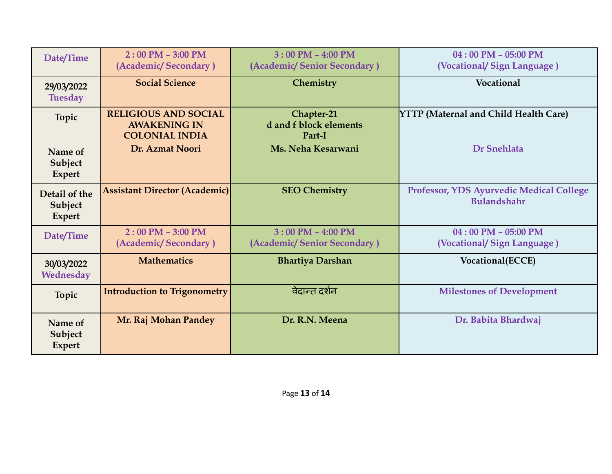| Date/Time                                 | $2:00$ PM - 3:00 PM<br>(Academic/Secondary)                                 | $3:00$ PM $-$ 4:00 PM<br>(Academic/Senior Secondary) | $04:00$ PM $- 05:00$ PM<br>(Vocational/Sign Language)                 |
|-------------------------------------------|-----------------------------------------------------------------------------|------------------------------------------------------|-----------------------------------------------------------------------|
| 29/03/2022<br><b>Tuesday</b>              | <b>Social Science</b>                                                       | Chemistry                                            | Vocational                                                            |
| Topic                                     | <b>RELIGIOUS AND SOCIAL</b><br><b>AWAKENING IN</b><br><b>COLONIAL INDIA</b> | Chapter-21<br>d and f block elements<br>Part-I       | <b>YTTP</b> (Maternal and Child Health Care)                          |
| Name of<br>Subject<br><b>Expert</b>       | Dr. Azmat Noori                                                             | Ms. Neha Kesarwani                                   | <b>Dr Snehlata</b>                                                    |
| Detail of the<br>Subject<br><b>Expert</b> | <b>Assistant Director (Academic)</b>                                        | <b>SEO Chemistry</b>                                 | <b>Professor, YDS Ayurvedic Medical College</b><br><b>Bulandshahr</b> |
| Date/Time                                 | $2:00$ PM $-$ 3:00 PM<br>(Academic/Secondary)                               | $3:00$ PM $-$ 4:00 PM<br>(Academic/Senior Secondary) | $04:00$ PM $- 05:00$ PM<br>(Vocational/Sign Language)                 |
| 30/03/2022<br>Wednesday                   | <b>Mathematics</b>                                                          | <b>Bhartiya Darshan</b>                              | Vocational(ECCE)                                                      |
| <b>Topic</b>                              | <b>Introduction to Trigonometry</b>                                         | वेदान्त दर्शन                                        | <b>Milestones of Development</b>                                      |
| Name of<br>Subject<br><b>Expert</b>       | Mr. Raj Mohan Pandey                                                        | Dr. R.N. Meena                                       | Dr. Babita Bhardwaj                                                   |